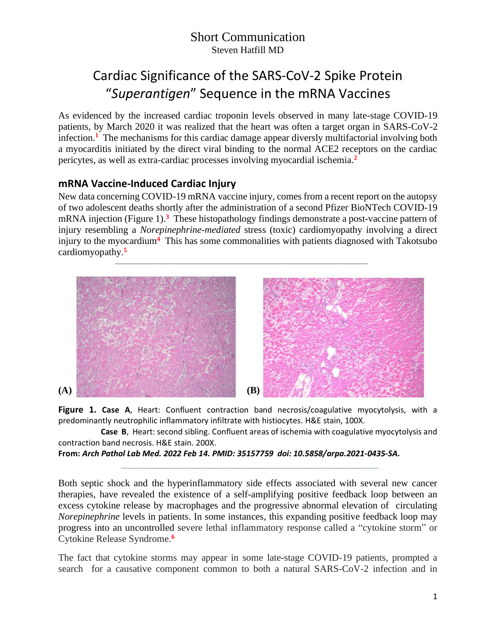# Cardiac Significance of the SARS-CoV-2 Spike Protein "*Superantigen*" Sequence in the mRNA Vaccines

As evidenced by the increased cardiac troponin levels observed in many late-stage COVID-19 patients, by March 2020 it was realized that the heart was often a target organ in SARS-CoV-2 infection.**<sup>1</sup>** The mechanisms for this cardiac damage appear diversly multifactorial involving both a myocarditis initiated by the direct viral binding to the normal ACE2 receptors on the cardiac pericytes, as well as extra-cardiac processes involving myocardial ischemia.**<sup>2</sup>**

# **mRNA Vaccine-Induced Cardiac Injury**

New data concerning COVID-19 mRNA vaccine injury, comes from a recent report on the autopsy of two adolescent deaths shortly after the administration of a second Pfizer BioNTech COVID-19 mRNA injection (Figure 1). **3** These histopathology findings demonstrate a post-vaccine pattern of injury resembling a *Norepinephrine-mediated* stress (toxic) cardiomyopathy involving a direct injury to the myocardium**<sup>4</sup>** This has some commonalities with patients diagnosed with Takotsubo cardiomyopathy.**<sup>5</sup>**

\_\_\_\_\_\_\_\_\_\_\_\_\_\_\_\_\_\_\_\_\_\_\_\_\_\_\_\_\_\_\_\_\_\_\_\_\_\_\_\_\_\_\_\_\_\_\_\_\_\_\_\_\_\_\_\_\_\_\_\_\_\_\_\_\_\_\_\_\_\_\_\_\_\_\_\_\_\_



**Figure 1. Case A**, Heart: Confluent contraction band necrosis/coagulative myocytolysis, with a predominantly neutrophilic inflammatory infiltrate with histiocytes. H&E stain, 100X.

 **Case B**, Heart: second sibling. Confluent areas of ischemia with coagulative myocytolysis and contraction band necrosis. H&E stain. 200X.

```
From: Arch Pathol Lab Med. 2022 Feb 14. PMID: 35157759 doi: 10.5858/arpa.2021-0435-SA.
```
\_\_\_\_\_\_\_\_\_\_\_\_\_\_\_\_\_\_\_\_\_\_\_\_\_\_\_\_\_\_\_\_\_\_\_\_\_\_\_\_\_\_\_\_\_\_\_\_\_\_\_\_\_\_\_\_\_\_

Both septic shock and the hyperinflammatory side effects associated with several new cancer therapies, have revealed the existence of a self-amplifying positive feedback loop between an excess cytokine release by macrophages and the progressive abnormal elevation of circulating *Norepinephrine* levels in patients. In some instances, this expanding positive feedback loop may progress into an uncontrolled severe lethal inflammatory response called a "cytokine storm" or Cytokine Release Syndrome.**<sup>6</sup>**

The fact that cytokine storms may appear in some late-stage COVID-19 patients, prompted a search for a causative component common to both a natural SARS-CoV-2 infection and in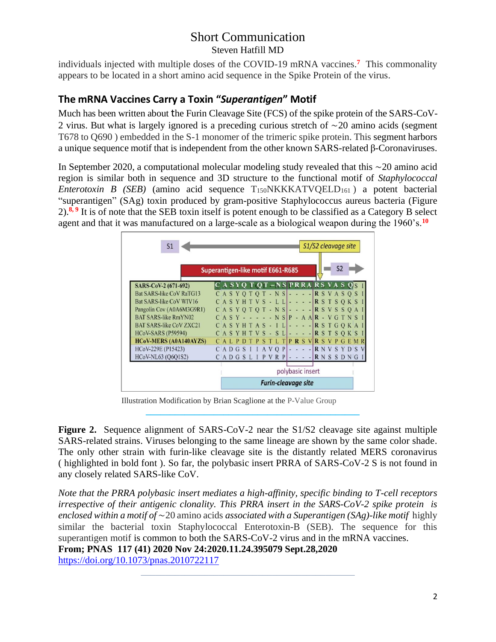individuals injected with multiple doses of the COVID-19 mRNA vaccines.**<sup>7</sup>** This commonality appears to be located in a short amino acid sequence in the Spike Protein of the virus.

## **The mRNA Vaccines Carry a Toxin "***Superantigen***" Motif**

Much has been written about the Furin Cleavage Site (FCS) of the spike protein of the SARS-CoV-2 virus. But what is largely ignored is a preceding curious stretch of ∼20 amino acids (segment T678 to Q690 ) embedded in the S-1 monomer of the trimeric spike protein. This segment harbors a unique sequence motif that is independent from the other known SARS-related β-Coronaviruses.

In September 2020, a computational molecular modeling study revealed that this ∼20 amino acid region is similar both in sequence and 3D structure to the functional motif of *Staphylococcal Enterotoxin B (SEB)* (amino acid sequence T<sub>150</sub>NKKKATVQELD<sub>161</sub>) a potent bacterial "superantigen" (SAg) toxin produced by gram-positive [Staphylococcus a](https://en.wikipedia.org/wiki/Staphylococcus_aureus)ureus bacteria (Figure 2).<sup>8, 9</sup> It is of note that the SEB toxin itself is potent enough to be classified as a Category B select agent and that it was manufactured on a large-scale as a biological weapon during the 1960's.**<sup>10</sup>**

| S1                              |                                   |                            |  |   |  |  |        |   |     |         | S1/S2 cleavage site |  |  |      |  |                  |  |  |  |                |                                         |  |  |
|---------------------------------|-----------------------------------|----------------------------|--|---|--|--|--------|---|-----|---------|---------------------|--|--|------|--|------------------|--|--|--|----------------|-----------------------------------------|--|--|
|                                 | Superantigen-like motif E661-R685 |                            |  |   |  |  |        |   |     |         |                     |  |  |      |  |                  |  |  |  | S <sub>2</sub> |                                         |  |  |
| SARS-CoV-2 (671-692)            |                                   |                            |  |   |  |  |        |   |     |         |                     |  |  |      |  |                  |  |  |  |                | CASYQ T QT – NS PRRA RS VA S QS         |  |  |
| <b>Bat SARS-like CoV RaTG13</b> |                                   |                            |  |   |  |  |        |   |     |         |                     |  |  |      |  |                  |  |  |  |                | $C A S Y O T O T - N S$ $R S V A S O S$ |  |  |
| Bat SARS-like CoV WIV16         |                                   | CASYHTVS-LL                |  |   |  |  |        |   |     |         |                     |  |  |      |  |                  |  |  |  |                | $- -  \mathbf{R}$ S T S O K S I         |  |  |
| Pangolin Cov (A0A6M3G9R1)       |                                   |                            |  |   |  |  |        |   |     |         |                     |  |  |      |  |                  |  |  |  |                | $CASYOTOT-NSI--.$ RSVSSOAI              |  |  |
| <b>BAT SARS-like RmYN02</b>     |                                   | $C A S Y - -$              |  |   |  |  |        |   |     |         |                     |  |  |      |  |                  |  |  |  |                | $-N$ SP - A AR - V G T N S              |  |  |
| <b>BAT SARS-like CoV ZXC21</b>  |                                   | CASYHTAS - IL              |  |   |  |  |        |   |     |         |                     |  |  |      |  |                  |  |  |  |                | $-$ RSTGQKA                             |  |  |
| <b>HCoV-SARS (P59594)</b>       |                                   |                            |  |   |  |  | SYHTVS |   |     | $-SL$   |                     |  |  |      |  |                  |  |  |  |                | $-$ R S T S Q K S                       |  |  |
| <b>HCoV-MERS (A0A140AYZS)</b>   |                                   |                            |  |   |  |  |        | s |     | TLT     |                     |  |  | PRSV |  |                  |  |  |  |                | <b>RSVPGEMR</b>                         |  |  |
| HCoV-229E (P15423)              |                                   | CAD                        |  | G |  |  |        |   | A V | $Q$ $P$ |                     |  |  |      |  |                  |  |  |  |                | <b>RNVSYDSV</b>                         |  |  |
| HCoV-NL63 (Q6Q1S2)              |                                   | CADGSLI                    |  |   |  |  |        |   |     | P V R   | P                   |  |  |      |  |                  |  |  |  |                | <b>RNSSDNG</b>                          |  |  |
|                                 |                                   |                            |  |   |  |  |        |   |     |         |                     |  |  |      |  | polybasic insert |  |  |  |                |                                         |  |  |
|                                 |                                   | <b>Furin-cleavage site</b> |  |   |  |  |        |   |     |         |                     |  |  |      |  |                  |  |  |  |                |                                         |  |  |

Illustration Modification by Brian Scaglione at the P-Value Group

 **\_\_\_\_\_\_\_\_\_\_\_\_\_\_\_\_\_\_\_\_\_\_\_\_\_\_\_\_\_\_\_\_\_\_\_\_\_\_\_\_\_\_\_\_**

 $\frac{1}{\sqrt{2}}$  ,  $\frac{1}{\sqrt{2}}$  ,  $\frac{1}{\sqrt{2}}$  ,  $\frac{1}{\sqrt{2}}$  ,  $\frac{1}{\sqrt{2}}$  ,  $\frac{1}{\sqrt{2}}$  ,  $\frac{1}{\sqrt{2}}$  ,  $\frac{1}{\sqrt{2}}$  ,  $\frac{1}{\sqrt{2}}$  ,  $\frac{1}{\sqrt{2}}$  ,  $\frac{1}{\sqrt{2}}$  ,  $\frac{1}{\sqrt{2}}$  ,  $\frac{1}{\sqrt{2}}$  ,  $\frac{1}{\sqrt{2}}$  ,  $\frac{1}{\sqrt{2}}$ 

**Figure 2.** Sequence alignment of SARS-CoV-2 near the S1/S2 cleavage site against multiple SARS-related strains. Viruses belonging to the same lineage are shown by the same color shade. The only other strain with furin-like cleavage site is the distantly related MERS coronavirus ( highlighted in bold font ). So far, the polybasic insert PRRA of SARS-CoV-2 S is not found in any closely related SARS-like CoV.

*Note that the PRRA polybasic insert mediates a high-affinity, specific binding to T-cell receptors irrespective of their antigenic clonality. This PRRA insert in the SARS-CoV-2 spike protein is enclosed within a motif of* ∼20 amino acids *associated with a Superantigen (SAg)-like motif* highly similar the bacterial toxin Staphylococcal Enterotoxin-B (SEB). The sequence for this superantigen motif is common to both the SARS-CoV-2 virus and in the mRNA vaccines. **From; PNAS 117 (41) 2020 Nov 24:2020.11.24.395079 Sept.28,2020**

<https://doi.org/10.1073/pnas.2010722117>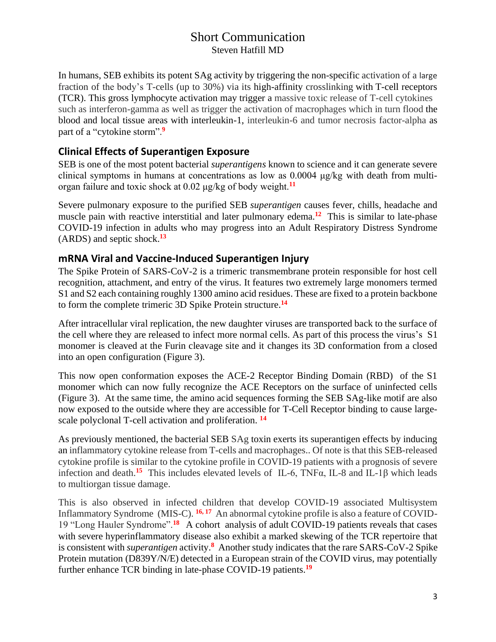In humans, SEB exhibits its potent SAg activity by triggering the non-specific activation of a large fraction of the body's T-cells (up to 30%) via its high-affinity crosslinking with [T-cell receptors](https://en.wikipedia.org/wiki/T-cell_receptor) (TCR). This gross lymphocyte activation may trigger a massive toxic release of T-cell cytokines such as interferon-gamma as well as trigger the activation of macrophages which in turn flood the blood and local tissue areas with interleukin-1, interleukin-6 and tumor necrosis factor-alpha as part of a ["cytokine](https://en.wikipedia.org/wiki/Cytokine) storm". **9**

## **Clinical Effects of Superantigen Exposure**

SEB is one of the most potent bacterial *superantigens* known to science and it can generate severe clinical symptoms in humans at concentrations as low as 0.0004 μg/kg with death from multiorgan failure and toxic shock at 0.02 μg/kg of body weight.**<sup>11</sup>**

Severe pulmonary exposure to the purified SEB *superantigen* causes fever, chills, headache and muscle pain with reactive interstitial and later pulmonary edema.<sup>12</sup> This is similar to late-phase COVID-19 infection in adults who may progress into an Adult Respiratory Distress Syndrome (ARDS) and septic shock.**<sup>13</sup>**

#### **mRNA Viral and Vaccine-Induced Superantigen Injury**

The Spike Protein of SARS-CoV-2 is a trimeric transmembrane protein responsible for host cell recognition, attachment, and entry of the virus. It features two extremely large monomers termed S1 and S2 each containing roughly 1300 amino acid residues. These are fixed to a protein backbone to form the complete trimeric 3D Spike Protein structure. **14**

After intracellular viral replication, the new daughter viruses are transported back to the surface of the cell where they are released to infect more normal cells. As part of this process the virus's S1 monomer is cleaved at the Furin cleavage site and it changes its 3D conformation from a closed into an open configuration (Figure 3).

This now open conformation exposes the ACE-2 Receptor Binding Domain (RBD) of the S1 monomer which can now fully recognize the ACE Receptors on the surface of uninfected cells (Figure 3). At the same time, the amino acid sequences forming the SEB SAg-like motif are also now exposed to the outside where they are accessible for T-Cell Receptor binding to cause largescale polyclonal T-cell activation and proliferation. **14**

As previously mentioned, the bacterial SEB SAg toxin exerts its superantigen effects by inducing an inflammatory cytokine release from T-cells and macrophages.. Of note is that this SEB-released cytokine profile is similar to the cytokine profile in COVID-19 patients with a prognosis of severe infection and death. **<sup>15</sup>** This includes elevated levels of IL-6, TNFα, IL-8 and IL-1β which leads to multiorgan tissue damage.

This is also observed in infected children that develop COVID-19 associated Multisystem Inflammatory Syndrome (MIS-C). **16, 17** An abnormal cytokine profile is also a feature of COVID-19 "Long Hauler Syndrome".**<sup>18</sup>** A cohort analysis of adult COVID-19 patients reveals that cases with severe hyperinflammatory disease also exhibit a marked skewing of the TCR repertoire that is consistent with *superantigen* activity.**<sup>8</sup>** Another study indicates that the rare SARS-CoV-2 Spike Protein mutation (D839Y/N/E) detected in a European strain of the COVID virus, may potentially further enhance TCR binding in late-phase COVID-19 patients.**<sup>19</sup>**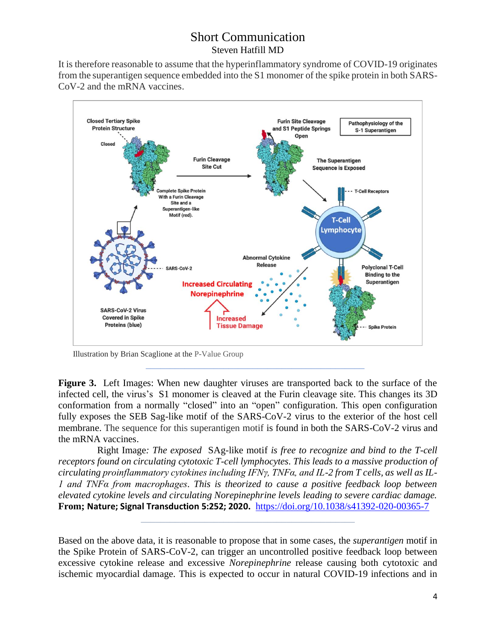It is therefore reasonable to assume that the hyperinflammatory syndrome of COVID-19 originates from the superantigen sequence embedded into the S1 monomer of the spike protein in both SARS-CoV-2 and the mRNA vaccines.



Illustration by Brian Scaglione at the P-Value Group

**Figure 3.** Left Images: When new daughter viruses are transported back to the surface of the infected cell, the virus's S1 monomer is cleaved at the Furin cleavage site. This changes its 3D conformation from a normally "closed" into an "open" configuration. This open configuration fully exposes the SEB Sag-like motif of the SARS-CoV-2 virus to the exterior of the host cell membrane. The sequence for this superantigen motif is found in both the SARS-CoV-2 virus and the mRNA vaccines.

 $\mathcal{L}_\text{max} = \frac{1}{2} \sum_{i=1}^{n} \frac{1}{2} \sum_{i=1}^{n} \frac{1}{2} \sum_{i=1}^{n} \frac{1}{2} \sum_{i=1}^{n} \frac{1}{2} \sum_{i=1}^{n} \frac{1}{2} \sum_{i=1}^{n} \frac{1}{2} \sum_{i=1}^{n} \frac{1}{2} \sum_{i=1}^{n} \frac{1}{2} \sum_{i=1}^{n} \frac{1}{2} \sum_{i=1}^{n} \frac{1}{2} \sum_{i=1}^{n} \frac{1}{2} \sum_{i=1}^{n} \frac{1$ 

 $\mathcal{L}_\mathcal{L} = \{ \mathcal{L}_\mathcal{L} = \{ \mathcal{L}_\mathcal{L} = \{ \mathcal{L}_\mathcal{L} = \{ \mathcal{L}_\mathcal{L} = \{ \mathcal{L}_\mathcal{L} = \{ \mathcal{L}_\mathcal{L} = \{ \mathcal{L}_\mathcal{L} = \{ \mathcal{L}_\mathcal{L} = \{ \mathcal{L}_\mathcal{L} = \{ \mathcal{L}_\mathcal{L} = \{ \mathcal{L}_\mathcal{L} = \{ \mathcal{L}_\mathcal{L} = \{ \mathcal{L}_\mathcal{L} = \{ \mathcal{L}_\mathcal{$ 

 Right Image*: The exposed* SAg-like motif *is free to recognize and bind to the T-cell receptors found on circulating cytotoxic T-cell lymphocytes. This leads to a massive production of circulating proinflammatory cytokines including IFNγ, TNFα, and IL-2 from T cells, as well as IL-1 and TNFα from macrophages. This is theorized to cause a positive feedback loop between elevated cytokine levels and circulating Norepinephrine levels leading to severe cardiac damage.* **From; Nature; Signal Transduction 5:252; 2020.** <https://doi.org/10.1038/s41392-020-00365-7>

Based on the above data, it is reasonable to propose that in some cases, the *superantigen* motif in the Spike Protein of SARS-CoV-2, can trigger an uncontrolled positive feedback loop between excessive cytokine release and excessive *Norepinephrine* release causing both cytotoxic and ischemic myocardial damage. This is expected to occur in natural COVID-19 infections and in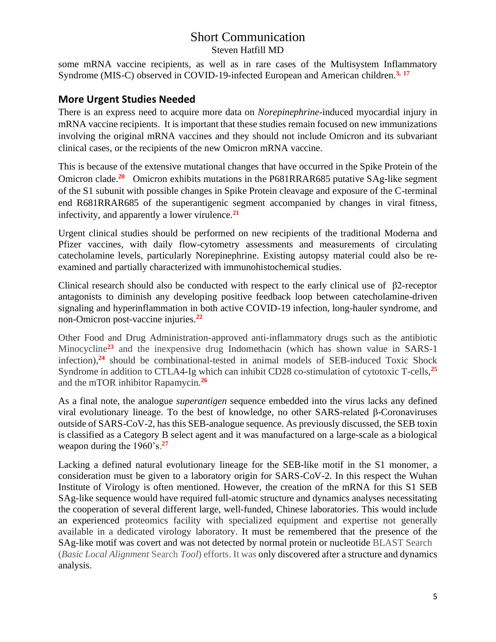some mRNA vaccine recipients, as well as in rare cases of the Multisystem Inflammatory Syndrome (MIS-C) observed in COVID-19-infected European and American children. **3, 17**

#### **More Urgent Studies Needed**

There is an express need to acquire more data on *Norepinephrine*-induced myocardial injury in mRNA vaccine recipients. It is important that these studies remain focused on new immunizations involving the original mRNA vaccines and they should not include Omicron and its subvariant clinical cases, or the recipients of the new Omicron mRNA vaccine.

This is because of the extensive mutational changes that have occurred in the Spike Protein of the Omicron clade.<sup>20</sup> Omicron exhibits mutations in the P681RRAR685 putative SAg-like segment of the S1 subunit with possible changes in Spike Protein cleavage and exposure of the C-terminal end R681RRAR685 of the superantigenic segment accompanied by changes in viral fitness, infectivity, and apparently a lower virulence.**<sup>21</sup>**

Urgent clinical studies should be performed on new recipients of the traditional Moderna and Pfizer vaccines, with daily flow-cytometry assessments and measurements of circulating catecholamine levels, particularly Norepinephrine. Existing autopsy material could also be reexamined and partially characterized with immunohistochemical studies.

Clinical research should also be conducted with respect to the early clinical use of β2-receptor antagonists to diminish any developing positive feedback loop between catecholamine-driven signaling and hyperinflammation in both active COVID-19 infection, long-hauler syndrome, and non-Omicron post-vaccine injuries. **22**

Other Food and Drug Administration-approved anti-inflammatory drugs such as the antibiotic Minocycline**<sup>23</sup>** and the inexpensive drug Indomethacin (which has shown value in SARS-1 infection), **<sup>24</sup>** should be combinational-tested in animal models of SEB-induced Toxic Shock Syndrome in addition to CTLA4-Ig which can inhibit CD28 co-stimulation of cytotoxic T-cells, **25** and the mTOR inhibitor Rapamycin.**<sup>26</sup>**

As a final note, the analogue *superantigen* sequence embedded into the virus lacks any defined viral evolutionary lineage. To the best of knowledge, no other SARS-related β-Coronaviruses outside of SARS-CoV-2, has this SEB-analogue sequence. As previously discussed, the SEB toxin is classified as a Category B select agent and it was manufactured on a large-scale as a biological weapon during the 1960's. **27**

Lacking a defined natural evolutionary lineage for the SEB-like motif in the S1 monomer, a consideration must be given to a laboratory origin for SARS-CoV-2. In this respect the Wuhan Institute of Virology is often mentioned. However, the creation of the mRNA for this S1 SEB SAg-like sequence would have required full-atomic structure and dynamics analyses necessitating the cooperation of several different large, well-funded, Chinese laboratories. This would include an experienced proteomics facility with specialized equipment and expertise not generally available in a dedicated virology laboratory. It must be remembered that the presence of the SAg-like motif was covert and was not detected by normal protein or nucleotide BLAST Search (*Basic Local Alignment* Search *Tool*) efforts. It was only discovered after a structure and dynamics analysis.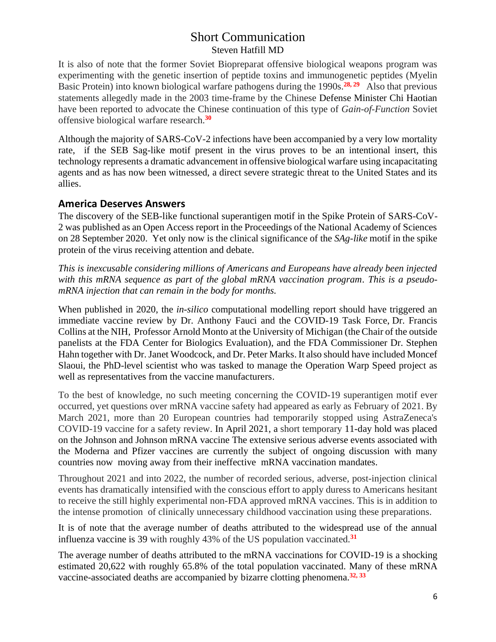It is also of note that the former Soviet Biopreparat offensive biological weapons program was experimenting with the genetic insertion of peptide toxins and immunogenetic peptides (Myelin Basic Protein) into known biological warfare pathogens during the 1990s. **28, 29** Also that previous statements allegedly made in the 2003 time-frame by the Chinese Defense Minister Chi Haotian have been reported to advocate the Chinese continuation of this type of *Gain-of-Function* Soviet offensive biological warfare research.**<sup>30</sup>**

Although the majority of SARS-CoV-2 infections have been accompanied by a very low mortality rate, if the SEB Sag-like motif present in the virus proves to be an intentional insert, this technology represents a dramatic advancement in offensive biological warfare using incapacitating agents and as has now been witnessed, a direct severe strategic threat to the United States and its allies.

#### **America Deserves Answers**

The discovery of the SEB-like functional superantigen motif in the Spike Protein of SARS-CoV-2 was published as an Open Access report in the Proceedings of the National Academy of Sciences on 28 September 2020. Yet only now is the clinical significance of the *SAg-like* motif in the spike protein of the virus receiving attention and debate.

*This is inexcusable considering millions of Americans and Europeans have already been injected with this mRNA sequence as part of the global mRNA vaccination program. This is a pseudomRNA injection that can remain in the body for months.*

When published in 2020, the *in-silico* computational modelling report should have triggered an immediate vaccine review by Dr. Anthony Fauci and the COVID-19 Task Force, Dr. [Francis](https://en.wikipedia.org/wiki/Francis_Collins)  [Collins](https://en.wikipedia.org/wiki/Francis_Collins) at the NIH, Professor Arnold Monto at the University of Michigan (the Chair of the outside panelists at the FDA Center for Biologics Evaluation), and the FDA Commissioner Dr. Stephen Hahn together with Dr. Janet Woodcock, and Dr. Peter Marks. It also should have include[d Moncef](https://en.wikipedia.org/wiki/Moncef_Slaoui)  [Slaoui,](https://en.wikipedia.org/wiki/Moncef_Slaoui) the PhD-level scientist who was tasked to manage the Operation Warp Speed project as well as representatives from the vaccine manufacturers.

To the best of knowledge, no such meeting concerning the COVID-19 superantigen motif ever occurred, yet questions over mRNA vaccine safety had appeared as early as February of 2021. By March 2021, more than 20 European countries had temporarily stopped using AstraZeneca's COVID-19 vaccine for a safety review. In April 2021, a short temporary 11-day hold was placed on the Johnson and Johnson mRNA vaccine The extensive serious adverse events associated with the Moderna and Pfizer vaccines are currently the subject of ongoing discussion with many countries now moving away from their ineffective mRNA vaccination mandates.

Throughout 2021 and into 2022, the number of recorded serious, adverse, post-injection clinical events has dramatically intensified with the conscious effort to apply duress to Americans hesitant to receive the still highly experimental non-FDA approved mRNA vaccines. This is in addition to the intense promotion of clinically unnecessary childhood vaccination using these preparations.

It is of note that the average number of deaths attributed to the widespread use of the annual influenza vaccine is 39 with roughly 43% of the US population vaccinated.**<sup>31</sup>**

The average number of deaths attributed to the mRNA vaccinations for COVID-19 is a shocking estimated 20,622 with roughly 65.8% of the total population vaccinated. Many of these mRNA vaccine-associated deaths are accompanied by bizarre clotting phenomena.**32, 33**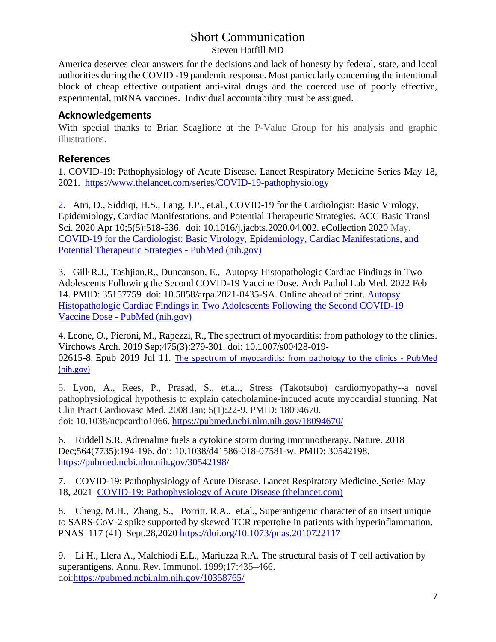America deserves clear answers for the decisions and lack of honesty by federal, state, and local authorities during the COVID -19 pandemic response. Most particularly concerning the intentional block of cheap effective outpatient anti-viral drugs and the coerced use of poorly effective, experimental, mRNA vaccines. Individual accountability must be assigned.

## **Acknowledgements**

With special thanks to Brian Scaglione at the P-Value Group for his analysis and graphic illustrations.

## **References**

1. COVID-19: Pathophysiology of Acute Disease. Lancet Respiratory Medicine Series May 18, 2021. <https://www.thelancet.com/series/COVID-19-pathophysiology>

2. [Atri,](https://pubmed.ncbi.nlm.nih.gov/?term=Atri+D&cauthor_id=32292848) D., [Siddiqi,](https://pubmed.ncbi.nlm.nih.gov/?term=Siddiqi+HK&cauthor_id=32292848) H.S., [Lang,](https://pubmed.ncbi.nlm.nih.gov/?term=Lang+JP&cauthor_id=32292848) J.P., et.al., COVID-19 for the Cardiologist: Basic Virology, Epidemiology, Cardiac Manifestations, and Potential Therapeutic Strategies. ACC Basic Transl Sci. 2020 Apr 10;5(5):518-536. doi: 10.1016/j.jacbts.2020.04.002. eCollection 2020 May. [COVID-19 for the Cardiologist: Basic Virology, Epidemiology, Cardiac Manifestations, and](https://pubmed.ncbi.nlm.nih.gov/32292848/)  [Potential Therapeutic Strategies -](https://pubmed.ncbi.nlm.nih.gov/32292848/) PubMed (nih.gov)

3. [Gill](https://pubmed.ncbi.nlm.nih.gov/?term=Gill+JR&cauthor_id=35157759), R.J., [Tashjian,](https://pubmed.ncbi.nlm.nih.gov/?term=Tashjian+R&cauthor_id=35157759)R., [Duncanson,](https://pubmed.ncbi.nlm.nih.gov/?term=Duncanson+E&cauthor_id=35157759) E., Autopsy Histopathologic Cardiac Findings in Two Adolescents Following the Second COVID-19 Vaccine Dose. Arch Pathol Lab Med. 2022 Feb 14. PMID: 35157759 doi: 10.5858/arpa.2021-0435-SA. Online ahead of print. [Autopsy](https://pubmed.ncbi.nlm.nih.gov/35157759/)  [Histopathologic Cardiac Findings in Two Adolescents Following the Second COVID-19](https://pubmed.ncbi.nlm.nih.gov/35157759/)  Vaccine Dose - [PubMed \(nih.gov\)](https://pubmed.ncbi.nlm.nih.gov/35157759/)

4[. Leone,](https://pubmed.ncbi.nlm.nih.gov/?term=Leone+O&cauthor_id=31297595) O., [Pieroni,](https://pubmed.ncbi.nlm.nih.gov/?term=Pieroni+M&cauthor_id=31297595) M., [Rapezzi,](https://pubmed.ncbi.nlm.nih.gov/?term=Rapezzi+C&cauthor_id=31297595) R., The spectrum of myocarditis: from pathology to the clinics. Virchows Arch. 2019 Sep;475(3):279-301. doi: 10.1007/s00428-019- 02615-8. Epub 2019 Jul 11. [The spectrum of myocarditis: from pathology to the clinics -](https://pubmed.ncbi.nlm.nih.gov/31297595/) PubMed [\(nih.gov\)](https://pubmed.ncbi.nlm.nih.gov/31297595/)

5. Lyon, A., Rees, P., Prasad, S., et.al., Stress (Takotsubo) cardiomyopathy--a novel pathophysiological hypothesis to explain catecholamine-induced acute myocardial stunning. Nat Clin Pract Cardiovasc Med. 2008 Jan; 5(1):22-9. PMID: 18094670. doi: 10.1038/ncpcardio1066. <https://pubmed.ncbi.nlm.nih.gov/18094670/>

6. Riddell S.R. Adrenaline fuels a cytokine storm during immunotherapy. Nature. 2018 Dec;564(7735):194-196. doi: 10.1038/d41586-018-07581-w. PMID: 30542198. <https://pubmed.ncbi.nlm.nih.gov/30542198/>

7. COVID-19: Pathophysiology of Acute Disease. Lancet Respiratory Medicine. Series May 18, 2021 [COVID-19: Pathophysiology of Acute Disease \(thelancet.com\)](https://www.thelancet.com/series/COVID-19-pathophysiology)

8. [Cheng,](https://www.pnas.org/doi/10.1073/pnas.2010722117#con1) M.H., [Zhang,](https://www.pnas.org/doi/10.1073/pnas.2010722117#con2) S., [Porritt,](https://www.pnas.org/doi/10.1073/pnas.2010722117#con3) R.A., et.al., Superantigenic character of an insert unique to SARS-CoV-2 spike supported by skewed TCR repertoire in patients with hyperinflammation. PNAS 117 (41) Sept.28,2020<https://doi.org/10.1073/pnas.2010722117>

9. Li H., Llera A., Malchiodi E.L., Mariuzza R.A. The structural basis of T cell activation by superantigens. Annu. Rev. Immunol. 1999;17:435–466. doi[:https://pubmed.ncbi.nlm.nih.gov/10358765/](https://pubmed.ncbi.nlm.nih.gov/10358765/)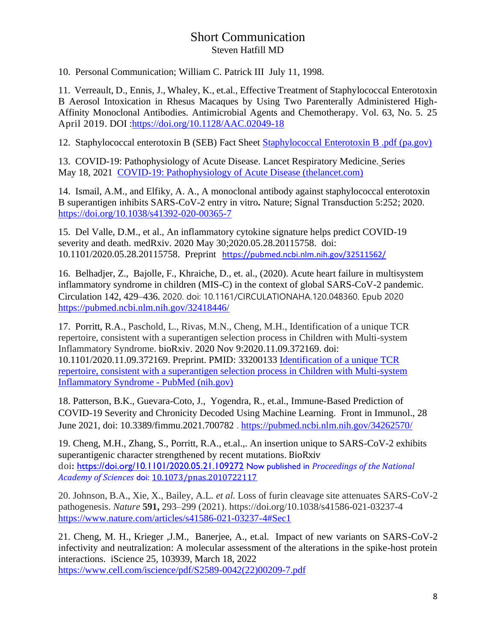10. Personal Communication; William C. Patrick III July 11, 1998.

11. [Verreault,](https://journals.asm.org/doi/10.1128/AAC.02049-18#con1) D., [Ennis,](https://journals.asm.org/doi/10.1128/AAC.02049-18#con2) J., [Whaley,](https://journals.asm.org/doi/10.1128/AAC.02049-18#con3) K., et.al., Effective Treatment of Staphylococcal Enterotoxin B Aerosol Intoxication in Rhesus Macaques by Using Two Parenterally Administered High-Affinity Monoclonal Antibodies. [Antimicrobial Agents and Chemotherapy.](https://journals.asm.org/journal/aac) [Vol. 63, No. 5.](https://journals.asm.org/toc/aac/63/5) 25 April 2019. DOI [:https://doi.org/10.1128/AAC.02049-18](https://doi.org/10.1128/AAC.02049-18)

12. Staphylococcal enterotoxin B (SEB) Fact Sheet [Staphylococcal Enterotoxin B .pdf \(pa.gov\)](https://www.health.pa.gov/topics/Documents/Diseases%20and%20Conditions/Staphylococcal%20Enterotoxin%20B%20.pdf)

13. COVID-19: Pathophysiology of Acute Disease. Lancet Respiratory Medicine. Series May 18, 2021 [COVID-19: Pathophysiology of Acute Disease \(thelancet.com\)](https://www.thelancet.com/series/COVID-19-pathophysiology)

14. Ismail, A.M., and Elfiky, A. A., A monoclonal antibody against staphylococcal enterotoxin B superantigen inhibits SARS-CoV-2 entry in vitro**.** Nature; Signal Transduction 5:252; 2020. <https://doi.org/10.1038/s41392-020-00365-7>

15. Del Valle, D.M., et al., An inflammatory cytokine signature helps predict COVID-19 severity and death. medRxiv. 2020 May 30;2020.05.28.20115758. doi: 10.1101/2020.05.28.20115758. Preprint <https://pubmed.ncbi.nlm.nih.gov/32511562/>

16. Belhadjer, Z., Bajolle, F., Khraiche, D., et. al., (2020). Acute heart failure in multisystem inflammatory syndrome in children (MIS-C) in the context of global SARS-CoV-2 pandemic. Circulation 142, 429–436. 2020. doi: 10.1161/CIRCULATIONAHA.120.048360. Epub 2020 <https://pubmed.ncbi.nlm.nih.gov/32418446/>

17. Porritt, R.A., Paschold, L., Rivas, M.N., Cheng, M.H., Identification of a unique TCR repertoire, consistent with a superantigen selection process in Children with Multi-system Inflammatory Syndrome. bioRxiv. 2020 Nov 9:2020.11.09.372169. doi: 10.1101/2020.11.09.372169. Preprint. PMID: 33200133 [Identification of a unique TCR](https://pubmed.ncbi.nlm.nih.gov/33200133/)  [repertoire, consistent with a superantigen selection process in Children with Multi-system](https://pubmed.ncbi.nlm.nih.gov/33200133/)  [Inflammatory Syndrome -](https://pubmed.ncbi.nlm.nih.gov/33200133/) PubMed (nih.gov)

18. Patterson, B.K., Guevara-Coto, J., Yogendra, R., et.al., Immune-Based Prediction of COVID-19 Severity and Chronicity Decoded Using Machine Learning. Front in Immunol., 28 June 2021, doi: 10.3389/fimmu.2021.700782 . <https://pubmed.ncbi.nlm.nih.gov/34262570/>

19. Cheng, M.H., Zhang, S., Porritt, R.A., et.al.,. An insertion unique to SARS-CoV-2 exhibits superantigenic character strengthened by recent mutations. BioRxiv doi**:** <https://doi.org/10.1101/2020.05.21.109272> Now published in *Proceedings of the National Academy of Sciences* doi: [10.1073/pnas.2010722117](http://dx.doi.org/10.1073/pnas.2010722117)

20. Johnson, B.A., Xie, X., Bailey, A.L. *et al.* Loss of furin cleavage site attenuates SARS-CoV-2 pathogenesis. *Nature* **591,** 293–299 (2021). https://doi.org/10.1038/s41586-021-03237-4 <https://www.nature.com/articles/s41586-021-03237-4#Sec1>

21. Cheng, M. H., Krieger ,J.M., Banerjee, A., et.al. Impact of new variants on SARS-CoV-2 infectivity and neutralization: A molecular assessment of the alterations in the spike-host protein interactions. iScience 25, 103939, March 18, 2022 [https://www.cell.com/iscience/pdf/S2589-0042\(22\)00209-7.pdf](https://www.cell.com/iscience/pdf/S2589-0042(22)00209-7.pdf) ֧֪֚֞֝֬֝֬֝֬֝֬֝֬֝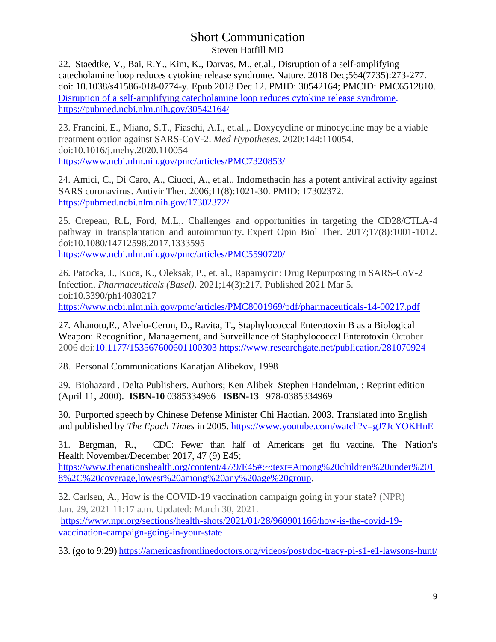22. Staedtke, V., Bai, R.Y., Kim, K., Darvas, M., et.al., Disruption of a self-amplifying catecholamine loop reduces cytokine release syndrome. Nature. 2018 Dec;564(7735):273-277. doi: 10.1038/s41586-018-0774-y. Epub 2018 Dec 12. PMID: 30542164; PMCID: PMC6512810. Disruption of a self-amplifying catecholamine loop reduces cytokine release syndrome. <https://pubmed.ncbi.nlm.nih.gov/30542164/>

23. Francini, E., Miano, S.T., Fiaschi, A.I., et.al.,. Doxycycline or minocycline may be a viable treatment option against SARS-CoV-2. *Med Hypotheses*. 2020;144:110054. doi:10.1016/j.mehy.2020.110054 <https://www.ncbi.nlm.nih.gov/pmc/articles/PMC7320853/>

24. Amici, C., Di Caro, A., Ciucci, A., et.al., Indomethacin has a potent antiviral activity against SARS coronavirus. Antivir Ther. 2006;11(8):1021-30. PMID: 17302372. <https://pubmed.ncbi.nlm.nih.gov/17302372/>

25. Crepeau, R.L, Ford, M.L,. Challenges and opportunities in targeting the CD28/CTLA-4 pathway in transplantation and autoimmunity. Expert Opin Biol Ther. 2017;17(8):1001-1012. doi:10.1080/14712598.2017.1333595 <https://www.ncbi.nlm.nih.gov/pmc/articles/PMC5590720/>

26. Patocka, J., Kuca, K., Oleksak, P., et. al., Rapamycin: Drug Repurposing in SARS-CoV-2 Infection. *Pharmaceuticals (Basel)*. 2021;14(3):217. Published 2021 Mar 5. doi:10.3390/ph14030217 <https://www.ncbi.nlm.nih.gov/pmc/articles/PMC8001969/pdf/pharmaceuticals-14-00217.pdf>

27. [Ahanotu,](https://www.researchgate.net/scientific-contributions/Ejem-Ahanotu-2079720323)E., [Alvelo-Ceron,](https://www.researchgate.net/scientific-contributions/Damaris-Alvelo-Ceron-2079687687) D., [Ravita,](https://www.researchgate.net/scientific-contributions/Timothy-Ravita-2079706588) T., Staphylococcal Enterotoxin B as a Biological Weapon: Recognition, Management, and Surveillance of Staphylococcal Enterotoxin October 2006 doi[:10.1177/153567600601100303](http://dx.doi.org/10.1177/153567600601100303) <https://www.researchgate.net/publication/281070924>

28. Personal Communications Kanatjan Alibekov, 1998

29. Biohazard . Delta Publishers. Authors; Ken Alibek [Stephen Handelman,](https://www.amazon.com/s/ref=dp_byline_sr_book_2?ie=UTF8&field-author=Stephen+Handelman&text=Stephen+Handelman&sort=relevancerank&search-alias=books) ; Reprint edition (April 11, 2000). **ISBN-10** 0385334966 **ISBN-13** 978-0385334969

30. Purported speech by Chinese Defense Minister Chi Haotian. 2003. Translated into English and published by *The Epoch Times* in 2005.<https://www.youtube.com/watch?v=gJ7JcYOKHnE>

31. Bergman, R., CDC: Fewer than half of Americans get flu vaccine. The Nation's Health November/December 2017, 47 (9) E45;

[https://www.thenationshealth.org/content/47/9/E45#:~:text=Among%20children%20under%201](https://www.thenationshealth.org/content/47/9/E45#:~:text=Among%20children%20under%2018%2C%20coverage,lowest%20among%20any%20age%20group) [8%2C%20coverage,lowest%20among%20any%20age%20group.](https://www.thenationshealth.org/content/47/9/E45#:~:text=Among%20children%20under%2018%2C%20coverage,lowest%20among%20any%20age%20group)

32. Carlsen, A., How is the COVID-19 vaccination campaign going in your state? (NPR) Jan. 29, 2021 11:17 a.m. Updated: March 30, 2021. [https://www.npr.org/sections/health-shots/2021/01/28/960901166/how-is-the-covid-19](https://www.npr.org/sections/health-shots/2021/01/28/960901166/how-is-the-covid-19-vaccination-campaign-going-in-your-state) [vaccination-campaign-going-in-your-state](https://www.npr.org/sections/health-shots/2021/01/28/960901166/how-is-the-covid-19-vaccination-campaign-going-in-your-state)

 **\_\_\_\_\_\_\_\_\_\_\_\_\_\_\_\_\_\_\_\_\_\_\_\_\_\_\_\_\_\_\_\_\_\_\_\_\_\_\_\_\_\_\_\_\_\_\_\_\_\_\_\_\_\_\_\_\_\_\_\_\_\_\_\_\_\_\_\_**

33. (go to 9:29)<https://americasfrontlinedoctors.org/videos/post/doc-tracy-pi-s1-e1-lawsons-hunt/>